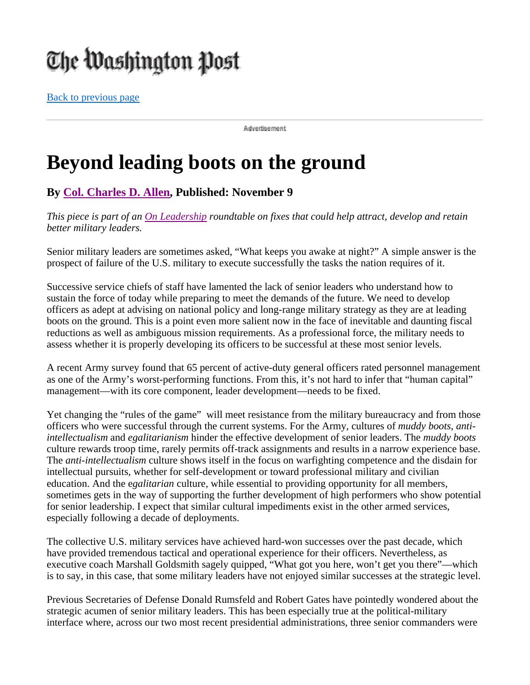## The Washington Post

Back to previous page

Advertisement

## **Beyond leading boots on the ground**

## **By Col. Charles D. Allen, Published: November 9**

*This piece is part of an On Leadership roundtable on fixes that could help attract, develop and retain better military leaders.*

Senior military leaders are sometimes asked, "What keeps you awake at night?" A simple answer is the prospect of failure of the U.S. military to execute successfully the tasks the nation requires of it.

Successive service chiefs of staff have lamented the lack of senior leaders who understand how to sustain the force of today while preparing to meet the demands of the future. We need to develop officers as adept at advising on national policy and long-range military strategy as they are at leading boots on the ground. This is a point even more salient now in the face of inevitable and daunting fiscal reductions as well as ambiguous mission requirements. As a professional force, the military needs to assess whether it is properly developing its officers to be successful at these most senior levels.

A recent Army survey found that 65 percent of active-duty general officers rated personnel management as one of the Army's worst-performing functions. From this, it's not hard to infer that "human capital" management—with its core component, leader development—needs to be fixed.

Yet changing the "rules of the game" will meet resistance from the military bureaucracy and from those officers who were successful through the current systems. For the Army, cultures of *muddy boots*, *antiintellectualism* and *egalitarianism* hinder the effective development of senior leaders. The *muddy boots* culture rewards troop time, rarely permits off-track assignments and results in a narrow experience base. The *anti-intellectualism* culture shows itself in the focus on warfighting competence and the disdain for intellectual pursuits, whether for self-development or toward professional military and civilian education. And the e*galitarian* culture*,* while essential to providing opportunity for all members, sometimes gets in the way of supporting the further development of high performers who show potential for senior leadership. I expect that similar cultural impediments exist in the other armed services, especially following a decade of deployments.

The collective U.S. military services have achieved hard-won successes over the past decade, which have provided tremendous tactical and operational experience for their officers. Nevertheless, as executive coach Marshall Goldsmith sagely quipped, "What got you here, won't get you there"—which is to say, in this case, that some military leaders have not enjoyed similar successes at the strategic level.

Previous Secretaries of Defense Donald Rumsfeld and Robert Gates have pointedly wondered about the strategic acumen of senior military leaders. This has been especially true at the political-military interface where, across our two most recent presidential administrations, three senior commanders were